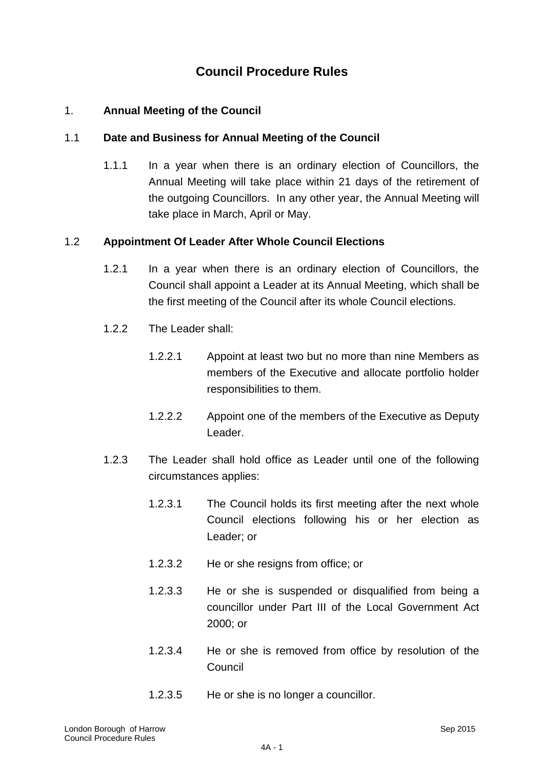# **Council Procedure Rules**

### 1. **Annual Meeting of the Council**

### 1.1 **Date and Business for Annual Meeting of the Council**

1.1.1 In a year when there is an ordinary election of Councillors, the Annual Meeting will take place within 21 days of the retirement of the outgoing Councillors. In any other year, the Annual Meeting will take place in March, April or May.

### 1.2 **Appointment Of Leader After Whole Council Elections**

- 1.2.1 In a year when there is an ordinary election of Councillors, the Council shall appoint a Leader at its Annual Meeting, which shall be the first meeting of the Council after its whole Council elections.
- 1.2.2 The Leader shall:
	- 1.2.2.1 Appoint at least two but no more than nine Members as members of the Executive and allocate portfolio holder responsibilities to them.
	- 1.2.2.2 Appoint one of the members of the Executive as Deputy Leader.
- 1.2.3 The Leader shall hold office as Leader until one of the following circumstances applies:
	- 1.2.3.1 The Council holds its first meeting after the next whole Council elections following his or her election as Leader; or
	- 1.2.3.2 He or she resigns from office; or
	- 1.2.3.3 He or she is suspended or disqualified from being a councillor under Part III of the Local Government Act 2000; or
	- 1.2.3.4 He or she is removed from office by resolution of the Council
	- 1.2.3.5 He or she is no longer a councillor.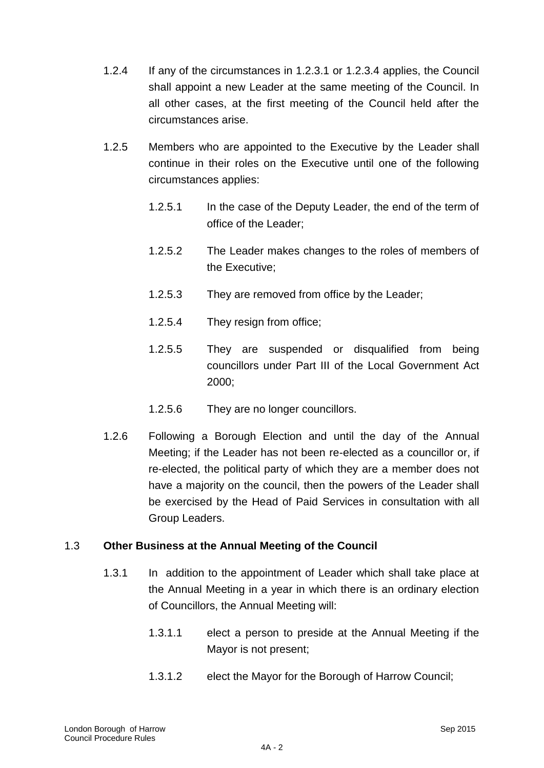- 1.2.4 If any of the circumstances in 1.2.3.1 or 1.2.3.4 applies, the Council shall appoint a new Leader at the same meeting of the Council. In all other cases, at the first meeting of the Council held after the circumstances arise.
- 1.2.5 Members who are appointed to the Executive by the Leader shall continue in their roles on the Executive until one of the following circumstances applies:
	- 1.2.5.1 In the case of the Deputy Leader, the end of the term of office of the Leader;
	- 1.2.5.2 The Leader makes changes to the roles of members of the Executive;
	- 1.2.5.3 They are removed from office by the Leader;
	- 1.2.5.4 They resign from office;
	- 1.2.5.5 They are suspended or disqualified from being councillors under Part III of the Local Government Act 2000;
	- 1.2.5.6 They are no longer councillors.
- 1.2.6 Following a Borough Election and until the day of the Annual Meeting; if the Leader has not been re-elected as a councillor or, if re-elected, the political party of which they are a member does not have a majority on the council, then the powers of the Leader shall be exercised by the Head of Paid Services in consultation with all Group Leaders.

### 1.3 **Other Business at the Annual Meeting of the Council**

- 1.3.1 In addition to the appointment of Leader which shall take place at the Annual Meeting in a year in which there is an ordinary election of Councillors, the Annual Meeting will:
	- 1.3.1.1 elect a person to preside at the Annual Meeting if the Mayor is not present;
	- 1.3.1.2 elect the Mayor for the Borough of Harrow Council;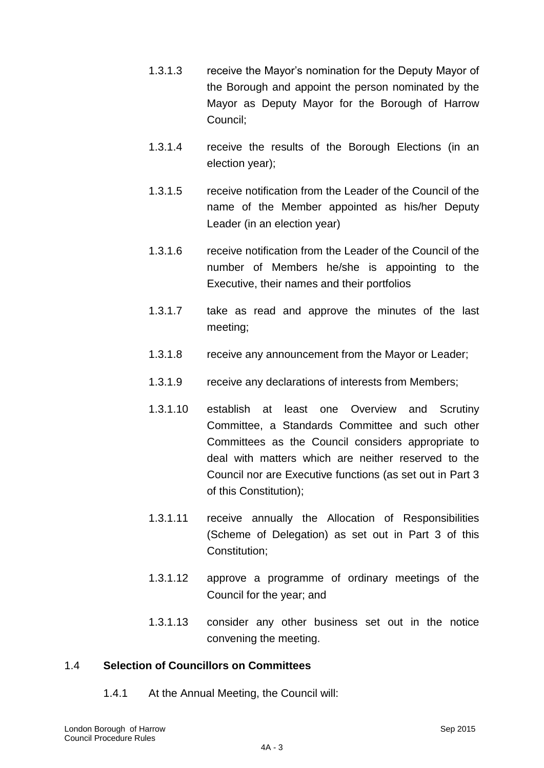- 1.3.1.3 receive the Mayor"s nomination for the Deputy Mayor of the Borough and appoint the person nominated by the Mayor as Deputy Mayor for the Borough of Harrow Council;
- 1.3.1.4 receive the results of the Borough Elections (in an election year);
- 1.3.1.5 receive notification from the Leader of the Council of the name of the Member appointed as his/her Deputy Leader (in an election year)
- 1.3.1.6 receive notification from the Leader of the Council of the number of Members he/she is appointing to the Executive, their names and their portfolios
- 1.3.1.7 take as read and approve the minutes of the last meeting;
- 1.3.1.8 receive any announcement from the Mayor or Leader;
- 1.3.1.9 receive any declarations of interests from Members;
- 1.3.1.10 establish at least one Overview and Scrutiny Committee, a Standards Committee and such other Committees as the Council considers appropriate to deal with matters which are neither reserved to the Council nor are Executive functions (as set out in Part 3 of this Constitution);
- 1.3.1.11 receive annually the Allocation of Responsibilities (Scheme of Delegation) as set out in Part 3 of this Constitution;
- 1.3.1.12 approve a programme of ordinary meetings of the Council for the year; and
- 1.3.1.13 consider any other business set out in the notice convening the meeting.

### 1.4 **Selection of Councillors on Committees**

1.4.1 At the Annual Meeting, the Council will: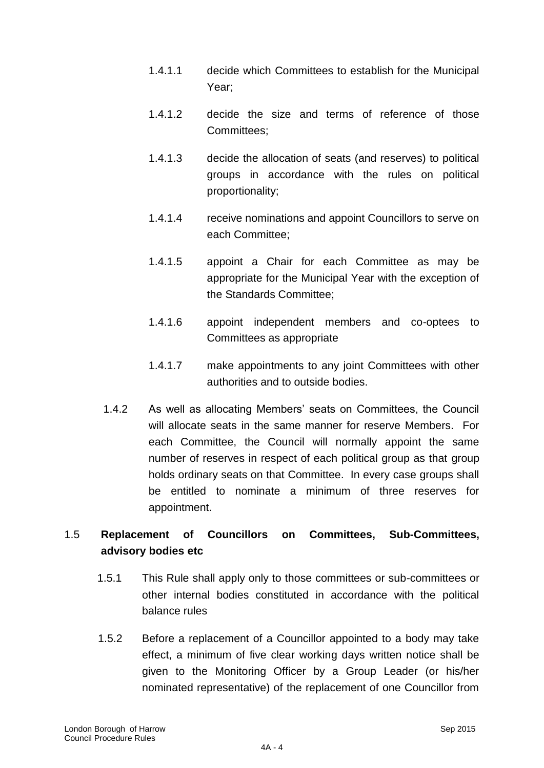- 1.4.1.1 decide which Committees to establish for the Municipal Year;
- 1.4.1.2 decide the size and terms of reference of those Committees;
- 1.4.1.3 decide the allocation of seats (and reserves) to political groups in accordance with the rules on political proportionality;
- 1.4.1.4 receive nominations and appoint Councillors to serve on each Committee;
- 1.4.1.5 appoint a Chair for each Committee as may be appropriate for the Municipal Year with the exception of the Standards Committee;
- 1.4.1.6 appoint independent members and co-optees to Committees as appropriate
- 1.4.1.7 make appointments to any joint Committees with other authorities and to outside bodies.
- 1.4.2 As well as allocating Members" seats on Committees, the Council will allocate seats in the same manner for reserve Members. For each Committee, the Council will normally appoint the same number of reserves in respect of each political group as that group holds ordinary seats on that Committee. In every case groups shall be entitled to nominate a minimum of three reserves for appointment.

## 1.5 **Replacement of Councillors on Committees, Sub-Committees, advisory bodies etc**

- 1.5.1 This Rule shall apply only to those committees or sub-committees or other internal bodies constituted in accordance with the political balance rules
- 1.5.2 Before a replacement of a Councillor appointed to a body may take effect, a minimum of five clear working days written notice shall be given to the Monitoring Officer by a Group Leader (or his/her nominated representative) of the replacement of one Councillor from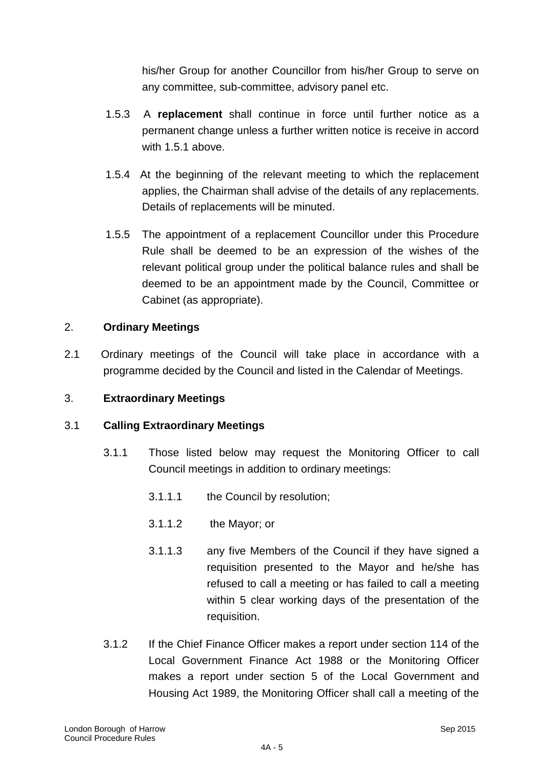his/her Group for another Councillor from his/her Group to serve on any committee, sub-committee, advisory panel etc.

- 1.5.3 A **replacement** shall continue in force until further notice as a permanent change unless a further written notice is receive in accord with 1.5.1 above.
- 1.5.4 At the beginning of the relevant meeting to which the replacement applies, the Chairman shall advise of the details of any replacements. Details of replacements will be minuted.
- 1.5.5 The appointment of a replacement Councillor under this Procedure Rule shall be deemed to be an expression of the wishes of the relevant political group under the political balance rules and shall be deemed to be an appointment made by the Council, Committee or Cabinet (as appropriate).

### 2. **Ordinary Meetings**

2.1 Ordinary meetings of the Council will take place in accordance with a programme decided by the Council and listed in the Calendar of Meetings.

### 3. **Extraordinary Meetings**

### 3.1 **Calling Extraordinary Meetings**

- 3.1.1 Those listed below may request the Monitoring Officer to call Council meetings in addition to ordinary meetings:
	- 3.1.1.1 the Council by resolution;
	- 3.1.1.2 the Mayor; or
	- 3.1.1.3 any five Members of the Council if they have signed a requisition presented to the Mayor and he/she has refused to call a meeting or has failed to call a meeting within 5 clear working days of the presentation of the requisition.
- 3.1.2 If the Chief Finance Officer makes a report under section 114 of the Local Government Finance Act 1988 or the Monitoring Officer makes a report under section 5 of the Local Government and Housing Act 1989, the Monitoring Officer shall call a meeting of the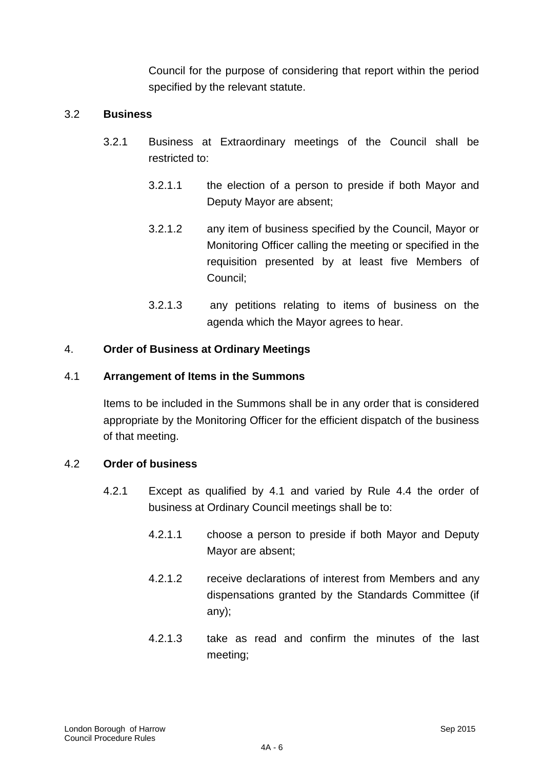Council for the purpose of considering that report within the period specified by the relevant statute.

### 3.2 **Business**

- 3.2.1 Business at Extraordinary meetings of the Council shall be restricted to:
	- 3.2.1.1 the election of a person to preside if both Mayor and Deputy Mayor are absent;
	- 3.2.1.2 any item of business specified by the Council, Mayor or Monitoring Officer calling the meeting or specified in the requisition presented by at least five Members of Council;
	- 3.2.1.3 any petitions relating to items of business on the agenda which the Mayor agrees to hear.

### 4. **Order of Business at Ordinary Meetings**

#### 4.1 **Arrangement of Items in the Summons**

Items to be included in the Summons shall be in any order that is considered appropriate by the Monitoring Officer for the efficient dispatch of the business of that meeting.

#### 4.2 **Order of business**

- 4.2.1 Except as qualified by 4.1 and varied by Rule 4.4 the order of business at Ordinary Council meetings shall be to:
	- 4.2.1.1 choose a person to preside if both Mayor and Deputy Mayor are absent;
	- 4.2.1.2 receive declarations of interest from Members and any dispensations granted by the Standards Committee (if any);
	- 4.2.1.3 take as read and confirm the minutes of the last meeting;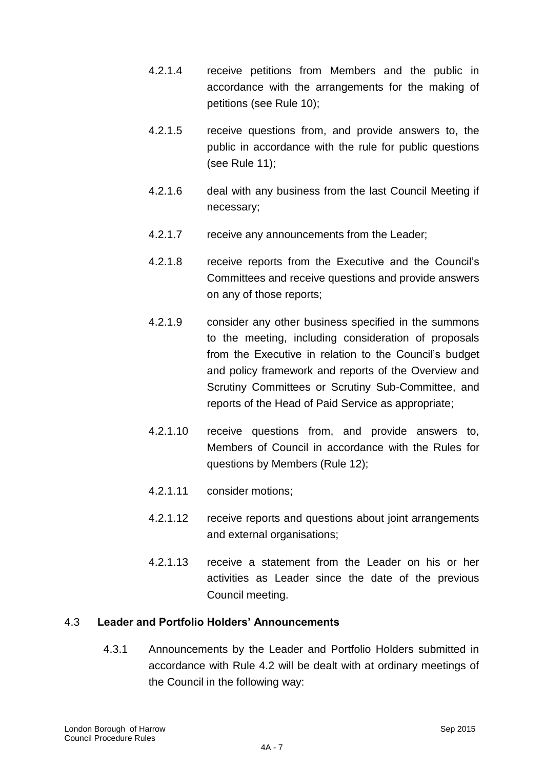- 4.2.1.4 receive petitions from Members and the public in accordance with the arrangements for the making of petitions (see Rule 10);
- 4.2.1.5 receive questions from, and provide answers to, the public in accordance with the rule for public questions (see Rule 11);
- 4.2.1.6 deal with any business from the last Council Meeting if necessary;
- 4.2.1.7 receive any announcements from the Leader;
- 4.2.1.8 receive reports from the Executive and the Council"s Committees and receive questions and provide answers on any of those reports;
- 4.2.1.9 consider any other business specified in the summons to the meeting, including consideration of proposals from the Executive in relation to the Council"s budget and policy framework and reports of the Overview and Scrutiny Committees or Scrutiny Sub-Committee, and reports of the Head of Paid Service as appropriate;
- 4.2.1.10 receive questions from, and provide answers to, Members of Council in accordance with the Rules for questions by Members (Rule 12);
- 4.2.1.11 consider motions;
- 4.2.1.12 receive reports and questions about joint arrangements and external organisations;
- 4.2.1.13 receive a statement from the Leader on his or her activities as Leader since the date of the previous Council meeting.

### 4.3 **Leader and Portfolio Holders' Announcements**

4.3.1 Announcements by the Leader and Portfolio Holders submitted in accordance with Rule 4.2 will be dealt with at ordinary meetings of the Council in the following way: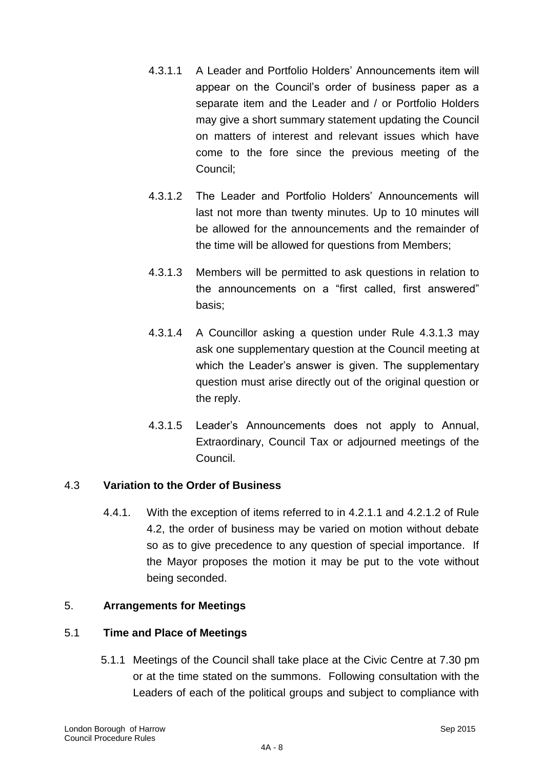- 4.3.1.1 A Leader and Portfolio Holders" Announcements item will appear on the Council"s order of business paper as a separate item and the Leader and / or Portfolio Holders may give a short summary statement updating the Council on matters of interest and relevant issues which have come to the fore since the previous meeting of the Council;
- 4.3.1.2 The Leader and Portfolio Holders" Announcements will last not more than twenty minutes. Up to 10 minutes will be allowed for the announcements and the remainder of the time will be allowed for questions from Members;
- 4.3.1.3 Members will be permitted to ask questions in relation to the announcements on a "first called, first answered" basis;
- 4.3.1.4 A Councillor asking a question under Rule 4.3.1.3 may ask one supplementary question at the Council meeting at which the Leader's answer is given. The supplementary question must arise directly out of the original question or the reply.
- 4.3.1.5 Leader"s Announcements does not apply to Annual, Extraordinary, Council Tax or adjourned meetings of the Council.

### 4.3 **Variation to the Order of Business**

4.4.1. With the exception of items referred to in 4.2.1.1 and 4.2.1.2 of Rule 4.2, the order of business may be varied on motion without debate so as to give precedence to any question of special importance. If the Mayor proposes the motion it may be put to the vote without being seconded.

#### 5. **Arrangements for Meetings**

#### 5.1 **Time and Place of Meetings**

5.1.1 Meetings of the Council shall take place at the Civic Centre at 7.30 pm or at the time stated on the summons. Following consultation with the Leaders of each of the political groups and subject to compliance with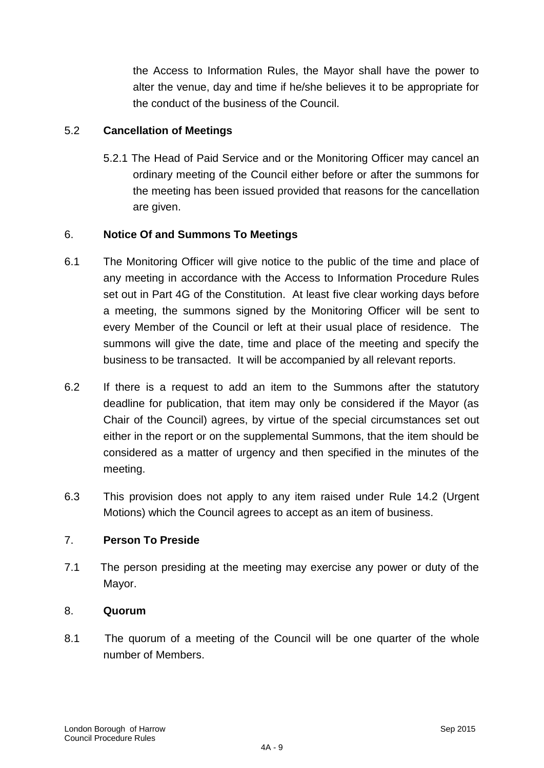the Access to Information Rules, the Mayor shall have the power to alter the venue, day and time if he/she believes it to be appropriate for the conduct of the business of the Council.

### 5.2 **Cancellation of Meetings**

5.2.1 The Head of Paid Service and or the Monitoring Officer may cancel an ordinary meeting of the Council either before or after the summons for the meeting has been issued provided that reasons for the cancellation are given.

### 6. **Notice Of and Summons To Meetings**

- 6.1 The Monitoring Officer will give notice to the public of the time and place of any meeting in accordance with the Access to Information Procedure Rules set out in Part 4G of the Constitution. At least five clear working days before a meeting, the summons signed by the Monitoring Officer will be sent to every Member of the Council or left at their usual place of residence. The summons will give the date, time and place of the meeting and specify the business to be transacted. It will be accompanied by all relevant reports.
- 6.2 If there is a request to add an item to the Summons after the statutory deadline for publication, that item may only be considered if the Mayor (as Chair of the Council) agrees, by virtue of the special circumstances set out either in the report or on the supplemental Summons, that the item should be considered as a matter of urgency and then specified in the minutes of the meeting.
- 6.3 This provision does not apply to any item raised under Rule 14.2 (Urgent Motions) which the Council agrees to accept as an item of business.

### 7. **Person To Preside**

7.1 The person presiding at the meeting may exercise any power or duty of the Mayor.

#### 8. **Quorum**

8.1 The quorum of a meeting of the Council will be one quarter of the whole number of Members.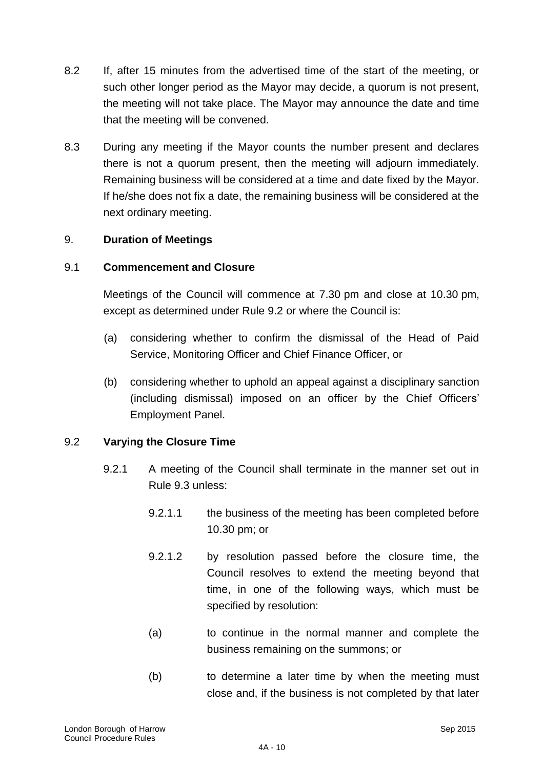- 8.2 If, after 15 minutes from the advertised time of the start of the meeting, or such other longer period as the Mayor may decide, a quorum is not present, the meeting will not take place. The Mayor may announce the date and time that the meeting will be convened.
- 8.3 During any meeting if the Mayor counts the number present and declares there is not a quorum present, then the meeting will adjourn immediately. Remaining business will be considered at a time and date fixed by the Mayor. If he/she does not fix a date, the remaining business will be considered at the next ordinary meeting.

### 9. **Duration of Meetings**

### 9.1 **Commencement and Closure**

Meetings of the Council will commence at 7.30 pm and close at 10.30 pm, except as determined under Rule 9.2 or where the Council is:

- (a) considering whether to confirm the dismissal of the Head of Paid Service, Monitoring Officer and Chief Finance Officer, or
- (b) considering whether to uphold an appeal against a disciplinary sanction (including dismissal) imposed on an officer by the Chief Officers" Employment Panel.

### 9.2 **Varying the Closure Time**

- 9.2.1 A meeting of the Council shall terminate in the manner set out in Rule 9.3 unless:
	- 9.2.1.1 the business of the meeting has been completed before 10.30 pm; or
	- 9.2.1.2 by resolution passed before the closure time, the Council resolves to extend the meeting beyond that time, in one of the following ways, which must be specified by resolution:
	- (a) to continue in the normal manner and complete the business remaining on the summons; or
	- (b) to determine a later time by when the meeting must close and, if the business is not completed by that later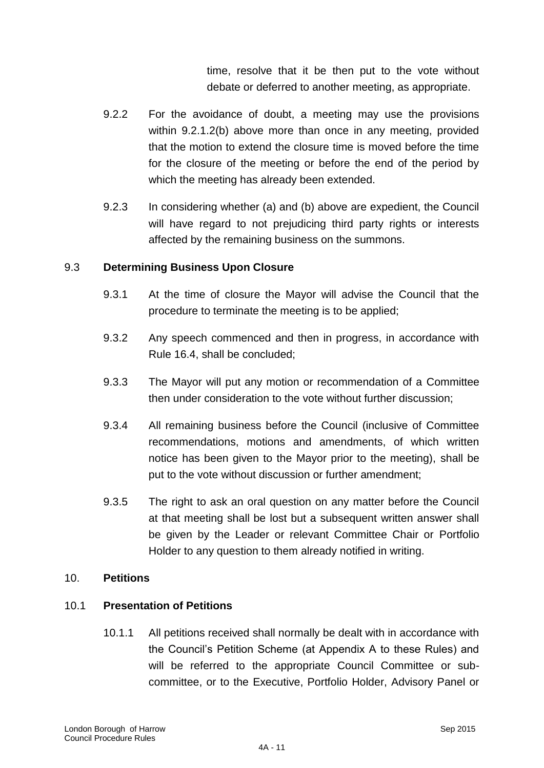time, resolve that it be then put to the vote without debate or deferred to another meeting, as appropriate.

- 9.2.2 For the avoidance of doubt, a meeting may use the provisions within 9.2.1.2(b) above more than once in any meeting, provided that the motion to extend the closure time is moved before the time for the closure of the meeting or before the end of the period by which the meeting has already been extended.
- 9.2.3 In considering whether (a) and (b) above are expedient, the Council will have regard to not prejudicing third party rights or interests affected by the remaining business on the summons.

### 9.3 **Determining Business Upon Closure**

- 9.3.1 At the time of closure the Mayor will advise the Council that the procedure to terminate the meeting is to be applied;
- 9.3.2 Any speech commenced and then in progress, in accordance with Rule 16.4, shall be concluded;
- 9.3.3 The Mayor will put any motion or recommendation of a Committee then under consideration to the vote without further discussion;
- 9.3.4 All remaining business before the Council (inclusive of Committee recommendations, motions and amendments, of which written notice has been given to the Mayor prior to the meeting), shall be put to the vote without discussion or further amendment;
- 9.3.5 The right to ask an oral question on any matter before the Council at that meeting shall be lost but a subsequent written answer shall be given by the Leader or relevant Committee Chair or Portfolio Holder to any question to them already notified in writing.

#### 10. **Petitions**

#### 10.1 **Presentation of Petitions**

10.1.1 All petitions received shall normally be dealt with in accordance with the Council"s Petition Scheme (at Appendix A to these Rules) and will be referred to the appropriate Council Committee or subcommittee, or to the Executive, Portfolio Holder, Advisory Panel or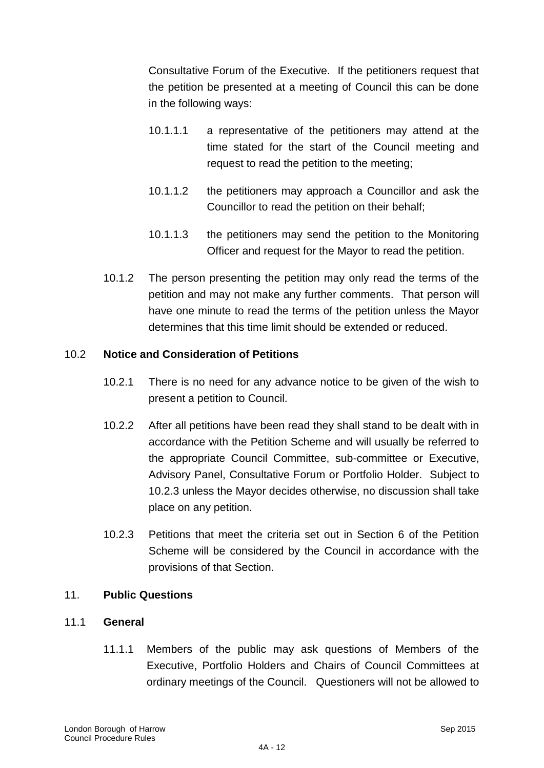Consultative Forum of the Executive. If the petitioners request that the petition be presented at a meeting of Council this can be done in the following ways:

- 10.1.1.1 a representative of the petitioners may attend at the time stated for the start of the Council meeting and request to read the petition to the meeting;
- 10.1.1.2 the petitioners may approach a Councillor and ask the Councillor to read the petition on their behalf;
- 10.1.1.3 the petitioners may send the petition to the Monitoring Officer and request for the Mayor to read the petition.
- 10.1.2 The person presenting the petition may only read the terms of the petition and may not make any further comments. That person will have one minute to read the terms of the petition unless the Mayor determines that this time limit should be extended or reduced.

### 10.2 **Notice and Consideration of Petitions**

- 10.2.1 There is no need for any advance notice to be given of the wish to present a petition to Council.
- 10.2.2 After all petitions have been read they shall stand to be dealt with in accordance with the Petition Scheme and will usually be referred to the appropriate Council Committee, sub-committee or Executive, Advisory Panel, Consultative Forum or Portfolio Holder. Subject to 10.2.3 unless the Mayor decides otherwise, no discussion shall take place on any petition.
- 10.2.3 Petitions that meet the criteria set out in Section 6 of the Petition Scheme will be considered by the Council in accordance with the provisions of that Section.

#### 11. **Public Questions**

### 11.1 **General**

11.1.1 Members of the public may ask questions of Members of the Executive, Portfolio Holders and Chairs of Council Committees at ordinary meetings of the Council. Questioners will not be allowed to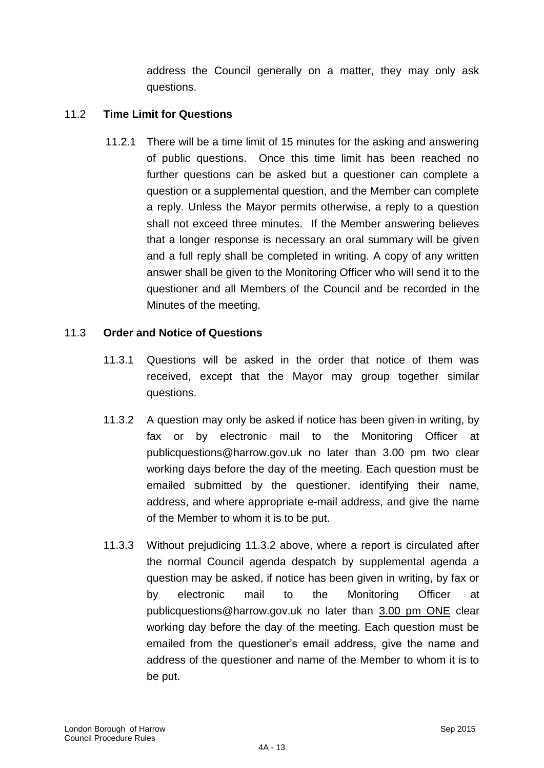address the Council generally on a matter, they may only ask questions.

### 11.2 **Time Limit for Questions**

11.2.1 There will be a time limit of 15 minutes for the asking and answering of public questions. Once this time limit has been reached no further questions can be asked but a questioner can complete a question or a supplemental question, and the Member can complete a reply. Unless the Mayor permits otherwise, a reply to a question shall not exceed three minutes. If the Member answering believes that a longer response is necessary an oral summary will be given and a full reply shall be completed in writing. A copy of any written answer shall be given to the Monitoring Officer who will send it to the questioner and all Members of the Council and be recorded in the Minutes of the meeting.

### 11.3 **Order and Notice of Questions**

- 11.3.1 Questions will be asked in the order that notice of them was received, except that the Mayor may group together similar questions.
- 11.3.2 A question may only be asked if notice has been given in writing, by fax or by electronic mail to the Monitoring Officer at publicquestions@harrow.gov.uk no later than 3.00 pm two clear working days before the day of the meeting. Each question must be emailed submitted by the questioner, identifying their name, address, and where appropriate e-mail address, and give the name of the Member to whom it is to be put.
- 11.3.3 Without prejudicing 11.3.2 above, where a report is circulated after the normal Council agenda despatch by supplemental agenda a question may be asked, if notice has been given in writing, by fax or by electronic mail to the Monitoring Officer at publicquestions@harrow.gov.uk no later than 3.00 pm ONE clear working day before the day of the meeting. Each question must be emailed from the questioner's email address, give the name and address of the questioner and name of the Member to whom it is to be put.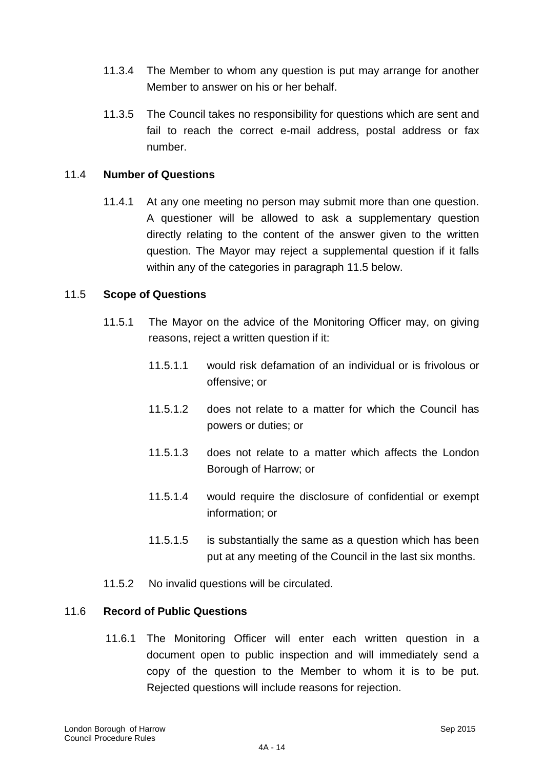- 11.3.4 The Member to whom any question is put may arrange for another Member to answer on his or her behalf.
- 11.3.5 The Council takes no responsibility for questions which are sent and fail to reach the correct e-mail address, postal address or fax number.

### 11.4 **Number of Questions**

11.4.1 At any one meeting no person may submit more than one question. A questioner will be allowed to ask a supplementary question directly relating to the content of the answer given to the written question. The Mayor may reject a supplemental question if it falls within any of the categories in paragraph 11.5 below.

#### 11.5 **Scope of Questions**

- 11.5.1 The Mayor on the advice of the Monitoring Officer may, on giving reasons, reject a written question if it:
	- 11.5.1.1 would risk defamation of an individual or is frivolous or offensive; or
	- 11.5.1.2 does not relate to a matter for which the Council has powers or duties; or
	- 11.5.1.3 does not relate to a matter which affects the London Borough of Harrow; or
	- 11.5.1.4 would require the disclosure of confidential or exempt information; or
	- 11.5.1.5 is substantially the same as a question which has been put at any meeting of the Council in the last six months.
- 11.5.2 No invalid questions will be circulated.

#### 11.6 **Record of Public Questions**

11.6.1 The Monitoring Officer will enter each written question in a document open to public inspection and will immediately send a copy of the question to the Member to whom it is to be put. Rejected questions will include reasons for rejection.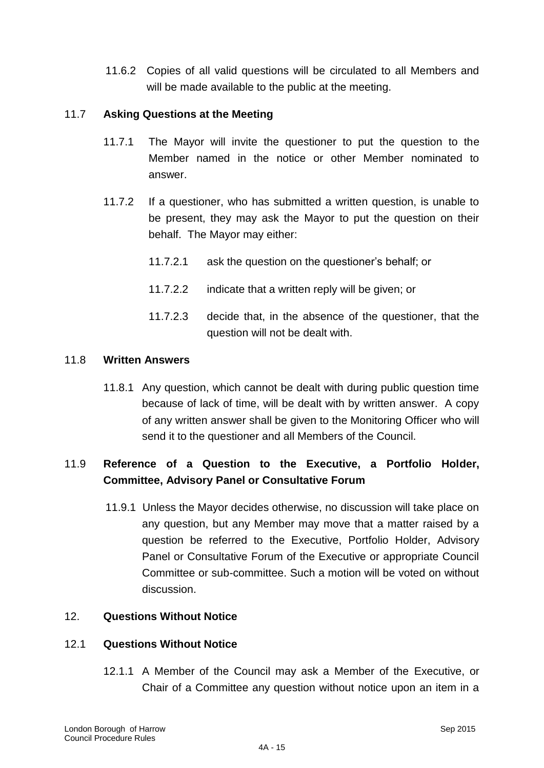11.6.2 Copies of all valid questions will be circulated to all Members and will be made available to the public at the meeting.

### 11.7 **Asking Questions at the Meeting**

- 11.7.1 The Mayor will invite the questioner to put the question to the Member named in the notice or other Member nominated to answer.
- 11.7.2 If a questioner, who has submitted a written question, is unable to be present, they may ask the Mayor to put the question on their behalf. The Mayor may either:
	- 11.7.2.1 ask the question on the questioner"s behalf; or
	- 11.7.2.2 indicate that a written reply will be given; or
	- 11.7.2.3 decide that, in the absence of the questioner, that the question will not be dealt with.

#### 11.8 **Written Answers**

11.8.1 Any question, which cannot be dealt with during public question time because of lack of time, will be dealt with by written answer. A copy of any written answer shall be given to the Monitoring Officer who will send it to the questioner and all Members of the Council.

## 11.9 **Reference of a Question to the Executive, a Portfolio Holder, Committee, Advisory Panel or Consultative Forum**

11.9.1 Unless the Mayor decides otherwise, no discussion will take place on any question, but any Member may move that a matter raised by a question be referred to the Executive, Portfolio Holder, Advisory Panel or Consultative Forum of the Executive or appropriate Council Committee or sub-committee. Such a motion will be voted on without discussion.

### 12. **Questions Without Notice**

#### 12.1 **Questions Without Notice**

12.1.1 A Member of the Council may ask a Member of the Executive, or Chair of a Committee any question without notice upon an item in a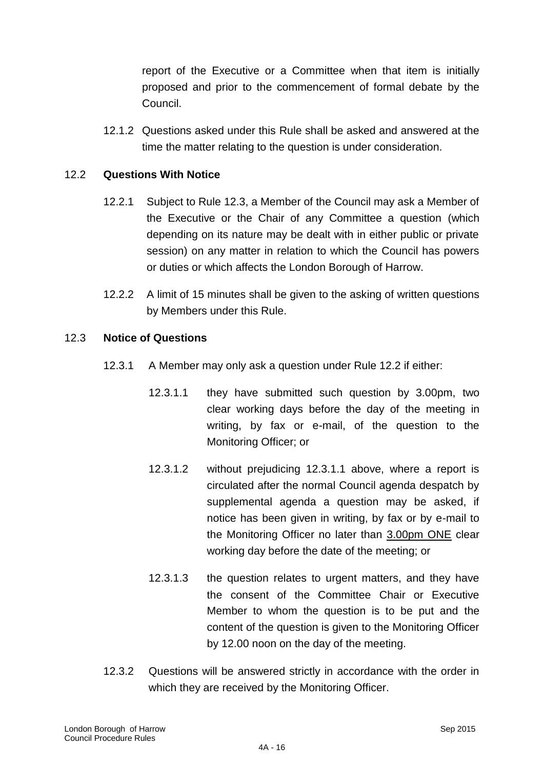report of the Executive or a Committee when that item is initially proposed and prior to the commencement of formal debate by the Council.

12.1.2 Questions asked under this Rule shall be asked and answered at the time the matter relating to the question is under consideration.

### 12.2 **Questions With Notice**

- 12.2.1 Subject to Rule 12.3, a Member of the Council may ask a Member of the Executive or the Chair of any Committee a question (which depending on its nature may be dealt with in either public or private session) on any matter in relation to which the Council has powers or duties or which affects the London Borough of Harrow.
- 12.2.2 A limit of 15 minutes shall be given to the asking of written questions by Members under this Rule.

#### 12.3 **Notice of Questions**

- 12.3.1 A Member may only ask a question under Rule 12.2 if either:
	- 12.3.1.1 they have submitted such question by 3.00pm, two clear working days before the day of the meeting in writing, by fax or e-mail, of the question to the Monitoring Officer; or
	- 12.3.1.2 without prejudicing 12.3.1.1 above, where a report is circulated after the normal Council agenda despatch by supplemental agenda a question may be asked, if notice has been given in writing, by fax or by e-mail to the Monitoring Officer no later than 3.00pm ONE clear working day before the date of the meeting; or
	- 12.3.1.3 the question relates to urgent matters, and they have the consent of the Committee Chair or Executive Member to whom the question is to be put and the content of the question is given to the Monitoring Officer by 12.00 noon on the day of the meeting.
- 12.3.2 Questions will be answered strictly in accordance with the order in which they are received by the Monitoring Officer.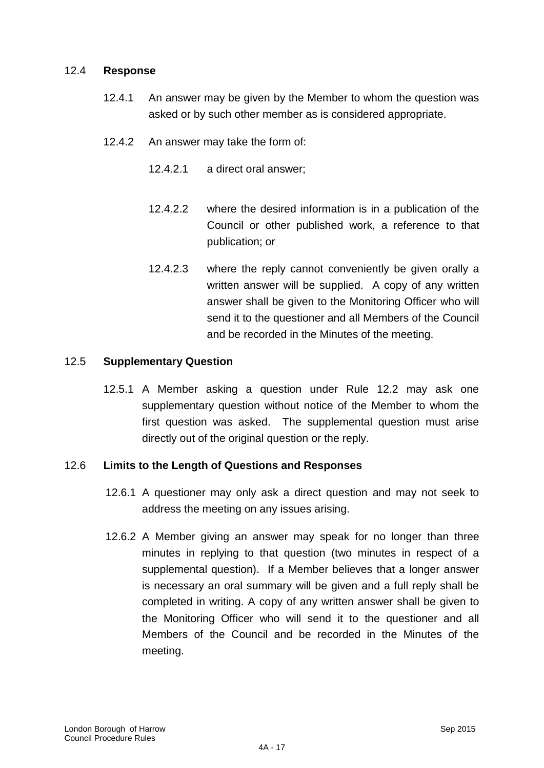#### 12.4 **Response**

- 12.4.1 An answer may be given by the Member to whom the question was asked or by such other member as is considered appropriate.
- 12.4.2 An answer may take the form of:
	- 12.4.2.1 a direct oral answer;
	- 12.4.2.2 where the desired information is in a publication of the Council or other published work, a reference to that publication; or
	- 12.4.2.3 where the reply cannot conveniently be given orally a written answer will be supplied. A copy of any written answer shall be given to the Monitoring Officer who will send it to the questioner and all Members of the Council and be recorded in the Minutes of the meeting.

#### 12.5 **Supplementary Question**

12.5.1 A Member asking a question under Rule 12.2 may ask one supplementary question without notice of the Member to whom the first question was asked. The supplemental question must arise directly out of the original question or the reply.

#### 12.6 **Limits to the Length of Questions and Responses**

- 12.6.1 A questioner may only ask a direct question and may not seek to address the meeting on any issues arising.
- 12.6.2 A Member giving an answer may speak for no longer than three minutes in replying to that question (two minutes in respect of a supplemental question). If a Member believes that a longer answer is necessary an oral summary will be given and a full reply shall be completed in writing. A copy of any written answer shall be given to the Monitoring Officer who will send it to the questioner and all Members of the Council and be recorded in the Minutes of the meeting.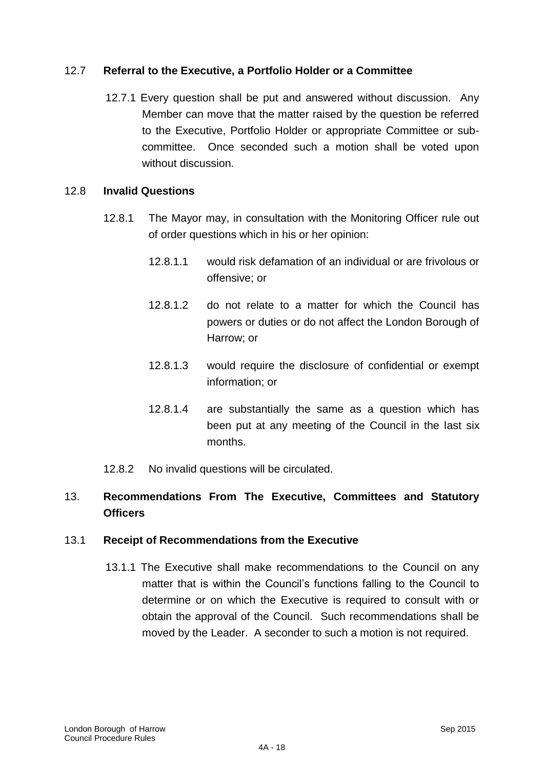### 12.7 **Referral to the Executive, a Portfolio Holder or a Committee**

12.7.1 Every question shall be put and answered without discussion. Any Member can move that the matter raised by the question be referred to the Executive, Portfolio Holder or appropriate Committee or subcommittee. Once seconded such a motion shall be voted upon without discussion.

#### 12.8 **Invalid Questions**

- 12.8.1 The Mayor may, in consultation with the Monitoring Officer rule out of order questions which in his or her opinion:
	- 12.8.1.1 would risk defamation of an individual or are frivolous or offensive; or
	- 12.8.1.2 do not relate to a matter for which the Council has powers or duties or do not affect the London Borough of Harrow; or
	- 12.8.1.3 would require the disclosure of confidential or exempt information; or
	- 12.8.1.4 are substantially the same as a question which has been put at any meeting of the Council in the last six months.
- 12.8.2 No invalid questions will be circulated.

## 13. **Recommendations From The Executive, Committees and Statutory Officers**

#### 13.1 **Receipt of Recommendations from the Executive**

13.1.1 The Executive shall make recommendations to the Council on any matter that is within the Council"s functions falling to the Council to determine or on which the Executive is required to consult with or obtain the approval of the Council. Such recommendations shall be moved by the Leader. A seconder to such a motion is not required.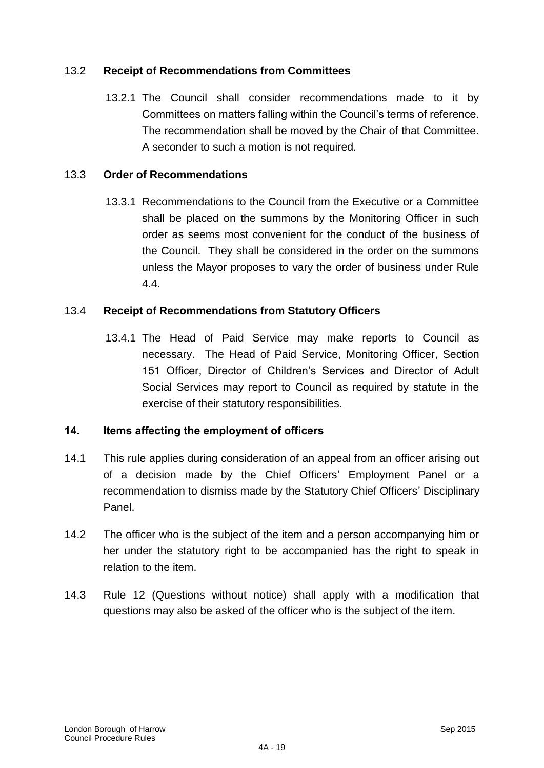### 13.2 **Receipt of Recommendations from Committees**

13.2.1 The Council shall consider recommendations made to it by Committees on matters falling within the Council"s terms of reference. The recommendation shall be moved by the Chair of that Committee. A seconder to such a motion is not required.

### 13.3 **Order of Recommendations**

13.3.1 Recommendations to the Council from the Executive or a Committee shall be placed on the summons by the Monitoring Officer in such order as seems most convenient for the conduct of the business of the Council. They shall be considered in the order on the summons unless the Mayor proposes to vary the order of business under Rule 4.4.

### 13.4 **Receipt of Recommendations from Statutory Officers**

13.4.1 The Head of Paid Service may make reports to Council as necessary. The Head of Paid Service, Monitoring Officer, Section 151 Officer, Director of Children"s Services and Director of Adult Social Services may report to Council as required by statute in the exercise of their statutory responsibilities.

#### **14. Items affecting the employment of officers**

- 14.1 This rule applies during consideration of an appeal from an officer arising out of a decision made by the Chief Officers' Employment Panel or a recommendation to dismiss made by the Statutory Chief Officers' Disciplinary Panel.
- 14.2 The officer who is the subject of the item and a person accompanying him or her under the statutory right to be accompanied has the right to speak in relation to the item.
- 14.3 Rule 12 (Questions without notice) shall apply with a modification that questions may also be asked of the officer who is the subject of the item.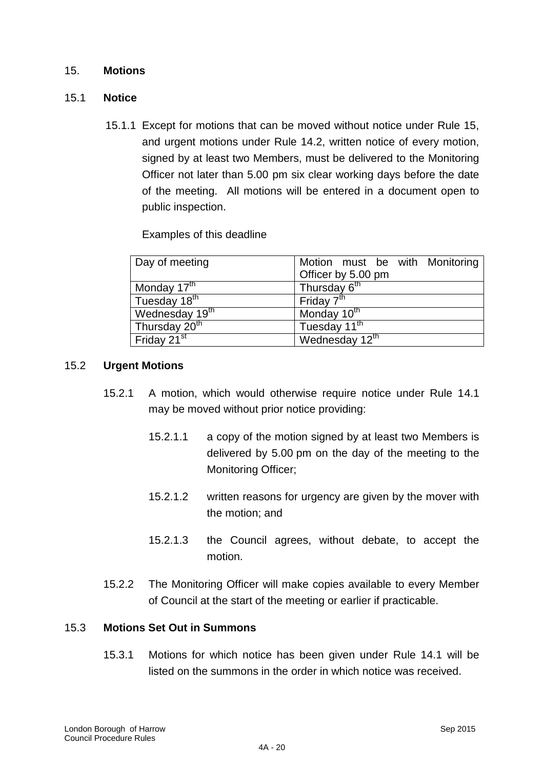#### 15. **Motions**

#### 15.1 **Notice**

15.1.1 Except for motions that can be moved without notice under Rule 15, and urgent motions under Rule 14.2, written notice of every motion, signed by at least two Members, must be delivered to the Monitoring Officer not later than 5.00 pm six clear working days before the date of the meeting. All motions will be entered in a document open to public inspection.

Examples of this deadline

| Day of meeting             | Motion must be with Monitoring |
|----------------------------|--------------------------------|
|                            | Officer by 5.00 pm             |
| Monday 17 <sup>th</sup>    | Thursday 6 <sup>th</sup>       |
| Tuesday 18 <sup>th</sup>   | Friday 7 <sup>th</sup>         |
| Wednesday 19 <sup>th</sup> | Monday 10 <sup>th</sup>        |
| Thursday 20 <sup>th</sup>  | Tuesday 11 <sup>th</sup>       |
| Friday 21 <sup>st</sup>    | Wednesday 12th                 |

#### 15.2 **Urgent Motions**

- 15.2.1 A motion, which would otherwise require notice under Rule 14.1 may be moved without prior notice providing:
	- 15.2.1.1 a copy of the motion signed by at least two Members is delivered by 5.00 pm on the day of the meeting to the Monitoring Officer;
	- 15.2.1.2 written reasons for urgency are given by the mover with the motion; and
	- 15.2.1.3 the Council agrees, without debate, to accept the motion.
- 15.2.2 The Monitoring Officer will make copies available to every Member of Council at the start of the meeting or earlier if practicable.

#### 15.3 **Motions Set Out in Summons**

15.3.1 Motions for which notice has been given under Rule 14.1 will be listed on the summons in the order in which notice was received.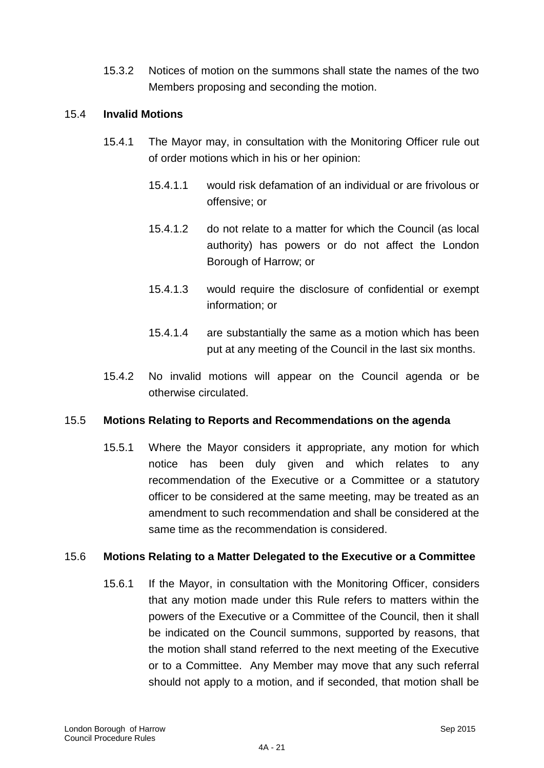15.3.2 Notices of motion on the summons shall state the names of the two Members proposing and seconding the motion.

#### 15.4 **Invalid Motions**

- 15.4.1 The Mayor may, in consultation with the Monitoring Officer rule out of order motions which in his or her opinion:
	- 15.4.1.1 would risk defamation of an individual or are frivolous or offensive; or
	- 15.4.1.2 do not relate to a matter for which the Council (as local authority) has powers or do not affect the London Borough of Harrow; or
	- 15.4.1.3 would require the disclosure of confidential or exempt information; or
	- 15.4.1.4 are substantially the same as a motion which has been put at any meeting of the Council in the last six months.
- 15.4.2 No invalid motions will appear on the Council agenda or be otherwise circulated.

#### 15.5 **Motions Relating to Reports and Recommendations on the agenda**

15.5.1 Where the Mayor considers it appropriate, any motion for which notice has been duly given and which relates to any recommendation of the Executive or a Committee or a statutory officer to be considered at the same meeting, may be treated as an amendment to such recommendation and shall be considered at the same time as the recommendation is considered.

### 15.6 **Motions Relating to a Matter Delegated to the Executive or a Committee**

15.6.1 If the Mayor, in consultation with the Monitoring Officer, considers that any motion made under this Rule refers to matters within the powers of the Executive or a Committee of the Council, then it shall be indicated on the Council summons, supported by reasons, that the motion shall stand referred to the next meeting of the Executive or to a Committee. Any Member may move that any such referral should not apply to a motion, and if seconded, that motion shall be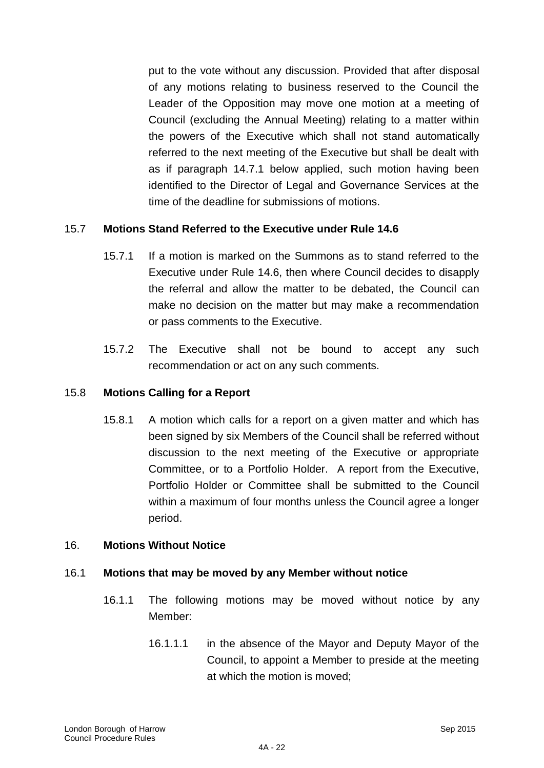put to the vote without any discussion. Provided that after disposal of any motions relating to business reserved to the Council the Leader of the Opposition may move one motion at a meeting of Council (excluding the Annual Meeting) relating to a matter within the powers of the Executive which shall not stand automatically referred to the next meeting of the Executive but shall be dealt with as if paragraph 14.7.1 below applied, such motion having been identified to the Director of Legal and Governance Services at the time of the deadline for submissions of motions.

### 15.7 **Motions Stand Referred to the Executive under Rule 14.6**

- 15.7.1 If a motion is marked on the Summons as to stand referred to the Executive under Rule 14.6, then where Council decides to disapply the referral and allow the matter to be debated, the Council can make no decision on the matter but may make a recommendation or pass comments to the Executive.
- 15.7.2 The Executive shall not be bound to accept any such recommendation or act on any such comments.

#### 15.8 **Motions Calling for a Report**

15.8.1 A motion which calls for a report on a given matter and which has been signed by six Members of the Council shall be referred without discussion to the next meeting of the Executive or appropriate Committee, or to a Portfolio Holder. A report from the Executive, Portfolio Holder or Committee shall be submitted to the Council within a maximum of four months unless the Council agree a longer period.

#### 16. **Motions Without Notice**

## 16.1 **Motions that may be moved by any Member without notice**

- 16.1.1 The following motions may be moved without notice by any Member:
	- 16.1.1.1 in the absence of the Mayor and Deputy Mayor of the Council, to appoint a Member to preside at the meeting at which the motion is moved;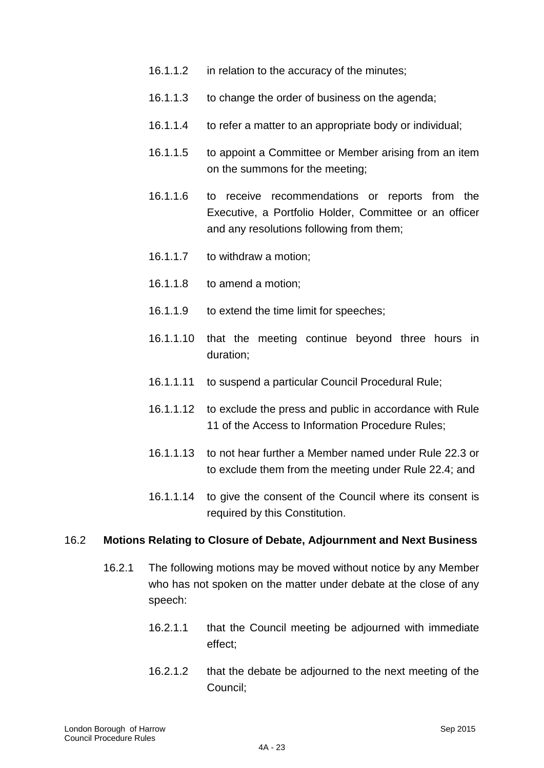- 16.1.1.2 in relation to the accuracy of the minutes;
- 16.1.1.3 to change the order of business on the agenda;
- 16.1.1.4 to refer a matter to an appropriate body or individual;
- 16.1.1.5 to appoint a Committee or Member arising from an item on the summons for the meeting;
- 16.1.1.6 to receive recommendations or reports from the Executive, a Portfolio Holder, Committee or an officer and any resolutions following from them;
- 16.1.1.7 to withdraw a motion;
- 16.1.1.8 to amend a motion;
- 16.1.1.9 to extend the time limit for speeches;
- 16.1.1.10 that the meeting continue beyond three hours in duration;
- 16.1.1.11 to suspend a particular Council Procedural Rule;
- 16.1.1.12 to exclude the press and public in accordance with Rule 11 of the Access to Information Procedure Rules;
- 16.1.1.13 to not hear further a Member named under Rule 22.3 or to exclude them from the meeting under Rule 22.4; and
- 16.1.1.14 to give the consent of the Council where its consent is required by this Constitution.

#### 16.2 **Motions Relating to Closure of Debate, Adjournment and Next Business**

- 16.2.1 The following motions may be moved without notice by any Member who has not spoken on the matter under debate at the close of any speech:
	- 16.2.1.1 that the Council meeting be adjourned with immediate effect;
	- 16.2.1.2 that the debate be adjourned to the next meeting of the Council;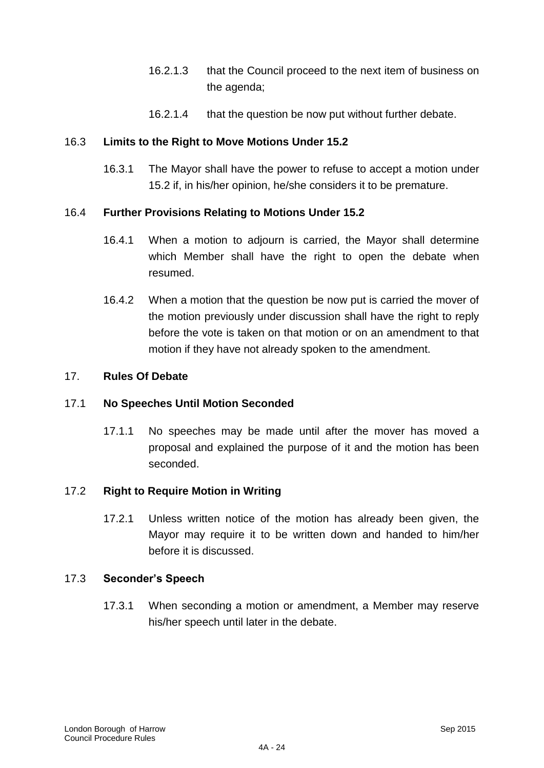- 16.2.1.3 that the Council proceed to the next item of business on the agenda;
- 16.2.1.4 that the question be now put without further debate.

### 16.3 **Limits to the Right to Move Motions Under 15.2**

16.3.1 The Mayor shall have the power to refuse to accept a motion under 15.2 if, in his/her opinion, he/she considers it to be premature.

### 16.4 **Further Provisions Relating to Motions Under 15.2**

- 16.4.1 When a motion to adjourn is carried, the Mayor shall determine which Member shall have the right to open the debate when resumed.
- 16.4.2 When a motion that the question be now put is carried the mover of the motion previously under discussion shall have the right to reply before the vote is taken on that motion or on an amendment to that motion if they have not already spoken to the amendment.

#### 17. **Rules Of Debate**

#### 17.1 **No Speeches Until Motion Seconded**

17.1.1 No speeches may be made until after the mover has moved a proposal and explained the purpose of it and the motion has been seconded.

#### 17.2 **Right to Require Motion in Writing**

17.2.1 Unless written notice of the motion has already been given, the Mayor may require it to be written down and handed to him/her before it is discussed.

#### 17.3 **Seconder's Speech**

17.3.1 When seconding a motion or amendment, a Member may reserve his/her speech until later in the debate.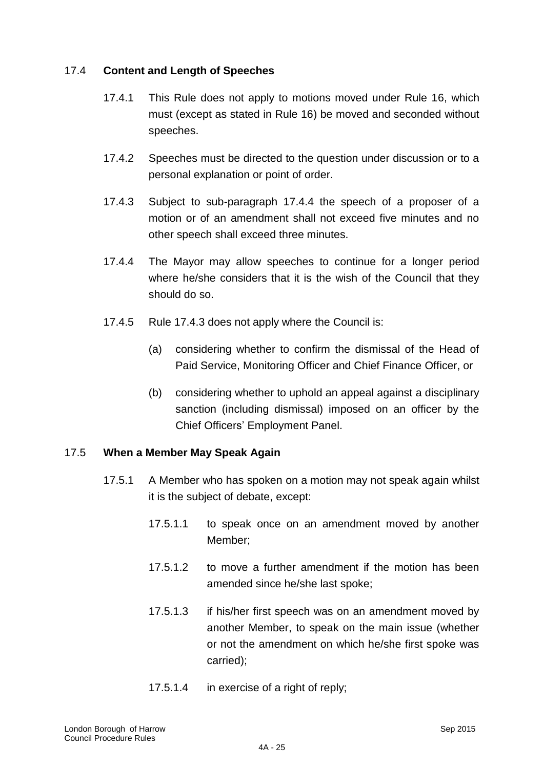### 17.4 **Content and Length of Speeches**

- 17.4.1 This Rule does not apply to motions moved under Rule 16, which must (except as stated in Rule 16) be moved and seconded without speeches.
- 17.4.2 Speeches must be directed to the question under discussion or to a personal explanation or point of order.
- 17.4.3 Subject to sub-paragraph 17.4.4 the speech of a proposer of a motion or of an amendment shall not exceed five minutes and no other speech shall exceed three minutes.
- 17.4.4 The Mayor may allow speeches to continue for a longer period where he/she considers that it is the wish of the Council that they should do so.
- 17.4.5 Rule 17.4.3 does not apply where the Council is:
	- (a) considering whether to confirm the dismissal of the Head of Paid Service, Monitoring Officer and Chief Finance Officer, or
	- (b) considering whether to uphold an appeal against a disciplinary sanction (including dismissal) imposed on an officer by the Chief Officers" Employment Panel.

#### 17.5 **When a Member May Speak Again**

- 17.5.1 A Member who has spoken on a motion may not speak again whilst it is the subject of debate, except:
	- 17.5.1.1 to speak once on an amendment moved by another Member;
	- 17.5.1.2 to move a further amendment if the motion has been amended since he/she last spoke;
	- 17.5.1.3 if his/her first speech was on an amendment moved by another Member, to speak on the main issue (whether or not the amendment on which he/she first spoke was carried);
	- 17.5.1.4 in exercise of a right of reply;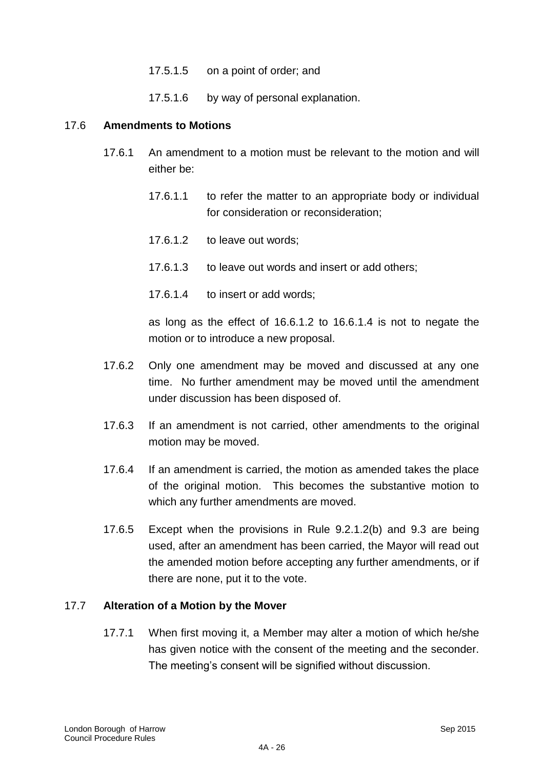- 17.5.1.5 on a point of order; and
- 17.5.1.6 by way of personal explanation.

#### 17.6 **Amendments to Motions**

- 17.6.1 An amendment to a motion must be relevant to the motion and will either be:
	- 17.6.1.1 to refer the matter to an appropriate body or individual for consideration or reconsideration;
	- 17.6.1.2 to leave out words;
	- 17.6.1.3 to leave out words and insert or add others;
	- 17.6.1.4 to insert or add words;

as long as the effect of 16.6.1.2 to 16.6.1.4 is not to negate the motion or to introduce a new proposal.

- 17.6.2 Only one amendment may be moved and discussed at any one time. No further amendment may be moved until the amendment under discussion has been disposed of.
- 17.6.3 If an amendment is not carried, other amendments to the original motion may be moved.
- 17.6.4 If an amendment is carried, the motion as amended takes the place of the original motion. This becomes the substantive motion to which any further amendments are moved.
- 17.6.5 Except when the provisions in Rule 9.2.1.2(b) and 9.3 are being used, after an amendment has been carried, the Mayor will read out the amended motion before accepting any further amendments, or if there are none, put it to the vote.

#### 17.7 **Alteration of a Motion by the Mover**

17.7.1 When first moving it, a Member may alter a motion of which he/she has given notice with the consent of the meeting and the seconder. The meeting"s consent will be signified without discussion.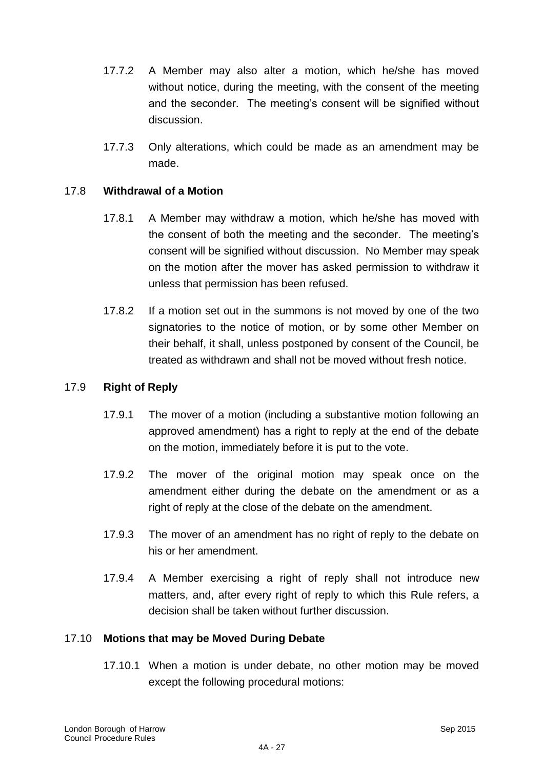- 17.7.2 A Member may also alter a motion, which he/she has moved without notice, during the meeting, with the consent of the meeting and the seconder. The meeting's consent will be signified without discussion.
- 17.7.3 Only alterations, which could be made as an amendment may be made.

### 17.8 **Withdrawal of a Motion**

- 17.8.1 A Member may withdraw a motion, which he/she has moved with the consent of both the meeting and the seconder. The meeting"s consent will be signified without discussion. No Member may speak on the motion after the mover has asked permission to withdraw it unless that permission has been refused.
- 17.8.2 If a motion set out in the summons is not moved by one of the two signatories to the notice of motion, or by some other Member on their behalf, it shall, unless postponed by consent of the Council, be treated as withdrawn and shall not be moved without fresh notice.

#### 17.9 **Right of Reply**

- 17.9.1 The mover of a motion (including a substantive motion following an approved amendment) has a right to reply at the end of the debate on the motion, immediately before it is put to the vote.
- 17.9.2 The mover of the original motion may speak once on the amendment either during the debate on the amendment or as a right of reply at the close of the debate on the amendment.
- 17.9.3 The mover of an amendment has no right of reply to the debate on his or her amendment.
- 17.9.4 A Member exercising a right of reply shall not introduce new matters, and, after every right of reply to which this Rule refers, a decision shall be taken without further discussion.

#### 17.10 **Motions that may be Moved During Debate**

17.10.1 When a motion is under debate, no other motion may be moved except the following procedural motions: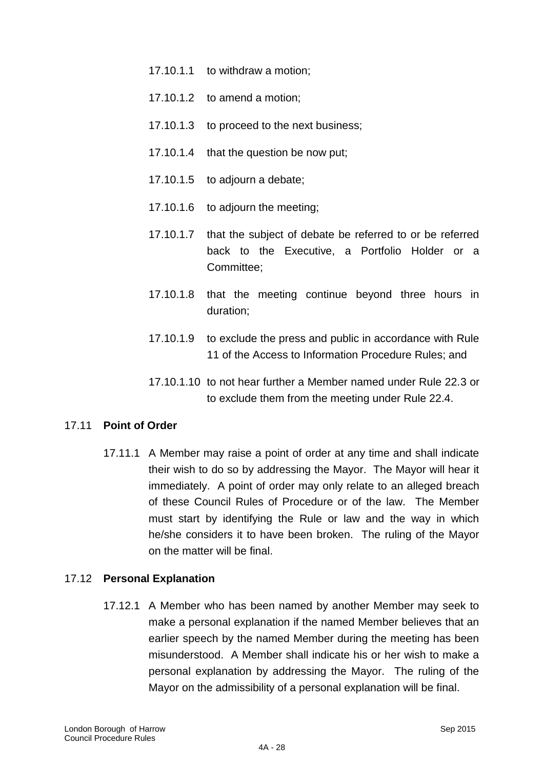- 17.10.1.1 to withdraw a motion;
- 17.10.1.2 to amend a motion;
- 17.10.1.3 to proceed to the next business;
- 17.10.1.4 that the question be now put;
- 17.10.1.5 to adjourn a debate;
- 17.10.1.6 to adjourn the meeting;
- 17.10.1.7 that the subject of debate be referred to or be referred back to the Executive, a Portfolio Holder or a Committee;
- 17.10.1.8 that the meeting continue beyond three hours in duration;
- 17.10.1.9 to exclude the press and public in accordance with Rule 11 of the Access to Information Procedure Rules; and
- 17.10.1.10 to not hear further a Member named under Rule 22.3 or to exclude them from the meeting under Rule 22.4.

#### 17.11 **Point of Order**

17.11.1 A Member may raise a point of order at any time and shall indicate their wish to do so by addressing the Mayor. The Mayor will hear it immediately. A point of order may only relate to an alleged breach of these Council Rules of Procedure or of the law. The Member must start by identifying the Rule or law and the way in which he/she considers it to have been broken. The ruling of the Mayor on the matter will be final.

#### 17.12 **Personal Explanation**

17.12.1 A Member who has been named by another Member may seek to make a personal explanation if the named Member believes that an earlier speech by the named Member during the meeting has been misunderstood. A Member shall indicate his or her wish to make a personal explanation by addressing the Mayor. The ruling of the Mayor on the admissibility of a personal explanation will be final.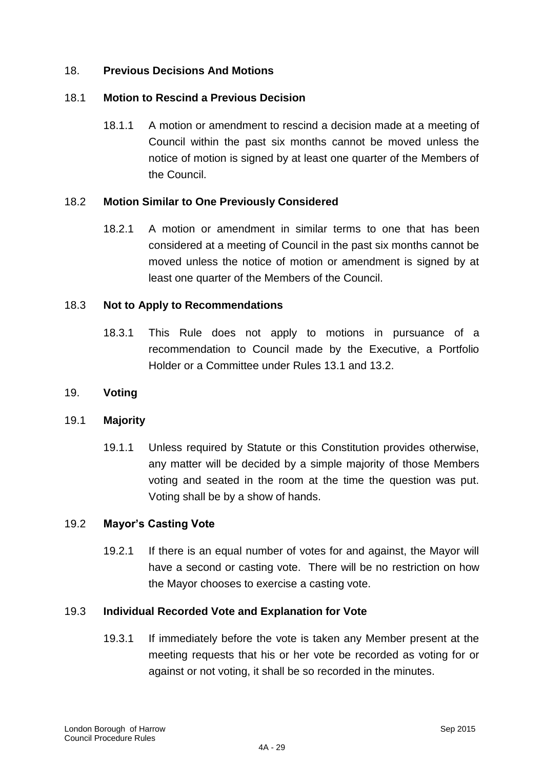### 18. **Previous Decisions And Motions**

### 18.1 **Motion to Rescind a Previous Decision**

18.1.1 A motion or amendment to rescind a decision made at a meeting of Council within the past six months cannot be moved unless the notice of motion is signed by at least one quarter of the Members of the Council.

### 18.2 **Motion Similar to One Previously Considered**

18.2.1 A motion or amendment in similar terms to one that has been considered at a meeting of Council in the past six months cannot be moved unless the notice of motion or amendment is signed by at least one quarter of the Members of the Council.

#### 18.3 **Not to Apply to Recommendations**

18.3.1 This Rule does not apply to motions in pursuance of a recommendation to Council made by the Executive, a Portfolio Holder or a Committee under Rules 13.1 and 13.2.

#### 19. **Voting**

#### 19.1 **Majority**

19.1.1 Unless required by Statute or this Constitution provides otherwise, any matter will be decided by a simple majority of those Members voting and seated in the room at the time the question was put. Voting shall be by a show of hands.

#### 19.2 **Mayor's Casting Vote**

19.2.1 If there is an equal number of votes for and against, the Mayor will have a second or casting vote. There will be no restriction on how the Mayor chooses to exercise a casting vote.

#### 19.3 **Individual Recorded Vote and Explanation for Vote**

19.3.1 If immediately before the vote is taken any Member present at the meeting requests that his or her vote be recorded as voting for or against or not voting, it shall be so recorded in the minutes.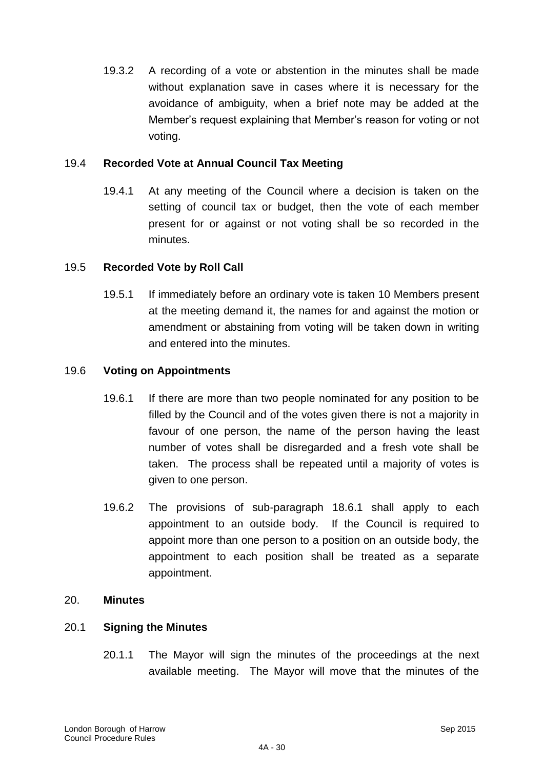19.3.2 A recording of a vote or abstention in the minutes shall be made without explanation save in cases where it is necessary for the avoidance of ambiguity, when a brief note may be added at the Member"s request explaining that Member"s reason for voting or not voting.

#### 19.4 **Recorded Vote at Annual Council Tax Meeting**

19.4.1 At any meeting of the Council where a decision is taken on the setting of council tax or budget, then the vote of each member present for or against or not voting shall be so recorded in the minutes.

### 19.5 **Recorded Vote by Roll Call**

19.5.1 If immediately before an ordinary vote is taken 10 Members present at the meeting demand it, the names for and against the motion or amendment or abstaining from voting will be taken down in writing and entered into the minutes.

#### 19.6 **Voting on Appointments**

- 19.6.1 If there are more than two people nominated for any position to be filled by the Council and of the votes given there is not a majority in favour of one person, the name of the person having the least number of votes shall be disregarded and a fresh vote shall be taken. The process shall be repeated until a majority of votes is given to one person.
- 19.6.2 The provisions of sub-paragraph 18.6.1 shall apply to each appointment to an outside body. If the Council is required to appoint more than one person to a position on an outside body, the appointment to each position shall be treated as a separate appointment.

#### 20. **Minutes**

#### 20.1 **Signing the Minutes**

20.1.1 The Mayor will sign the minutes of the proceedings at the next available meeting. The Mayor will move that the minutes of the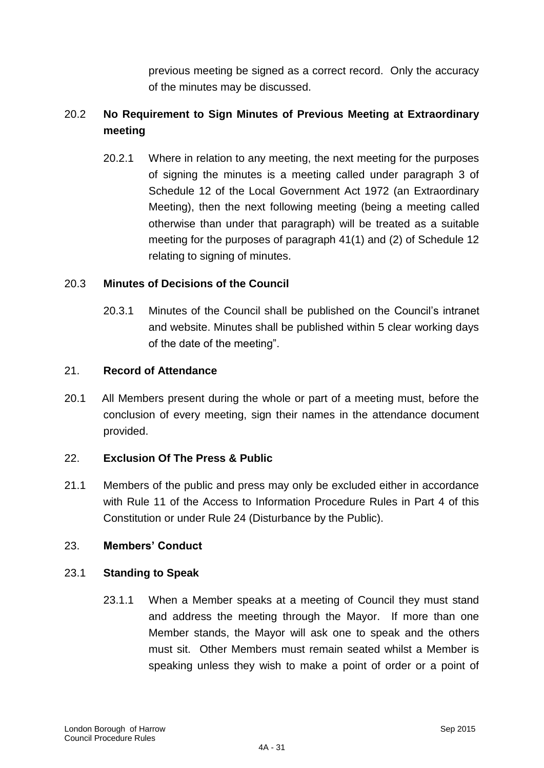previous meeting be signed as a correct record. Only the accuracy of the minutes may be discussed.

# 20.2 **No Requirement to Sign Minutes of Previous Meeting at Extraordinary meeting**

20.2.1 Where in relation to any meeting, the next meeting for the purposes of signing the minutes is a meeting called under paragraph 3 of Schedule 12 of the Local Government Act 1972 (an Extraordinary Meeting), then the next following meeting (being a meeting called otherwise than under that paragraph) will be treated as a suitable meeting for the purposes of paragraph 41(1) and (2) of Schedule 12 relating to signing of minutes.

### 20.3 **Minutes of Decisions of the Council**

20.3.1 Minutes of the Council shall be published on the Council"s intranet and website. Minutes shall be published within 5 clear working days of the date of the meeting".

### 21. **Record of Attendance**

20.1 All Members present during the whole or part of a meeting must, before the conclusion of every meeting, sign their names in the attendance document provided.

### 22. **Exclusion Of The Press & Public**

21.1 Members of the public and press may only be excluded either in accordance with Rule 11 of the Access to Information Procedure Rules in Part 4 of this Constitution or under Rule 24 (Disturbance by the Public).

### 23. **Members' Conduct**

### 23.1 **Standing to Speak**

23.1.1 When a Member speaks at a meeting of Council they must stand and address the meeting through the Mayor. If more than one Member stands, the Mayor will ask one to speak and the others must sit. Other Members must remain seated whilst a Member is speaking unless they wish to make a point of order or a point of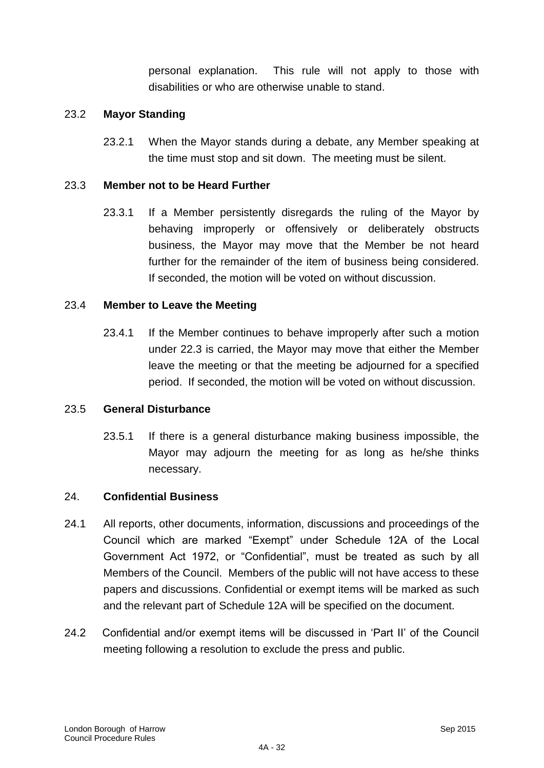personal explanation. This rule will not apply to those with disabilities or who are otherwise unable to stand.

### 23.2 **Mayor Standing**

23.2.1 When the Mayor stands during a debate, any Member speaking at the time must stop and sit down. The meeting must be silent.

### 23.3 **Member not to be Heard Further**

23.3.1 If a Member persistently disregards the ruling of the Mayor by behaving improperly or offensively or deliberately obstructs business, the Mayor may move that the Member be not heard further for the remainder of the item of business being considered. If seconded, the motion will be voted on without discussion.

#### 23.4 **Member to Leave the Meeting**

23.4.1 If the Member continues to behave improperly after such a motion under 22.3 is carried, the Mayor may move that either the Member leave the meeting or that the meeting be adjourned for a specified period. If seconded, the motion will be voted on without discussion.

#### 23.5 **General Disturbance**

23.5.1 If there is a general disturbance making business impossible, the Mayor may adjourn the meeting for as long as he/she thinks necessary.

#### 24. **Confidential Business**

- 24.1 All reports, other documents, information, discussions and proceedings of the Council which are marked "Exempt" under Schedule 12A of the Local Government Act 1972, or "Confidential", must be treated as such by all Members of the Council. Members of the public will not have access to these papers and discussions. Confidential or exempt items will be marked as such and the relevant part of Schedule 12A will be specified on the document.
- 24.2 Confidential and/or exempt items will be discussed in "Part II" of the Council meeting following a resolution to exclude the press and public.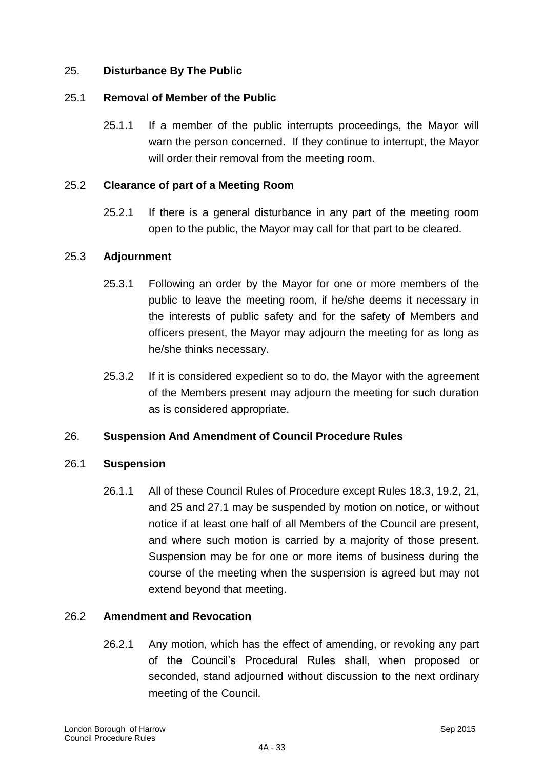### 25. **Disturbance By The Public**

#### 25.1 **Removal of Member of the Public**

25.1.1 If a member of the public interrupts proceedings, the Mayor will warn the person concerned. If they continue to interrupt, the Mayor will order their removal from the meeting room.

### 25.2 **Clearance of part of a Meeting Room**

25.2.1 If there is a general disturbance in any part of the meeting room open to the public, the Mayor may call for that part to be cleared.

#### 25.3 **Adjournment**

- 25.3.1 Following an order by the Mayor for one or more members of the public to leave the meeting room, if he/she deems it necessary in the interests of public safety and for the safety of Members and officers present, the Mayor may adjourn the meeting for as long as he/she thinks necessary.
- 25.3.2 If it is considered expedient so to do, the Mayor with the agreement of the Members present may adjourn the meeting for such duration as is considered appropriate.

### 26. **Suspension And Amendment of Council Procedure Rules**

#### 26.1 **Suspension**

26.1.1 All of these Council Rules of Procedure except Rules 18.3, 19.2, 21, and 25 and 27.1 may be suspended by motion on notice, or without notice if at least one half of all Members of the Council are present, and where such motion is carried by a majority of those present. Suspension may be for one or more items of business during the course of the meeting when the suspension is agreed but may not extend beyond that meeting.

### 26.2 **Amendment and Revocation**

26.2.1 Any motion, which has the effect of amending, or revoking any part of the Council"s Procedural Rules shall, when proposed or seconded, stand adjourned without discussion to the next ordinary meeting of the Council.